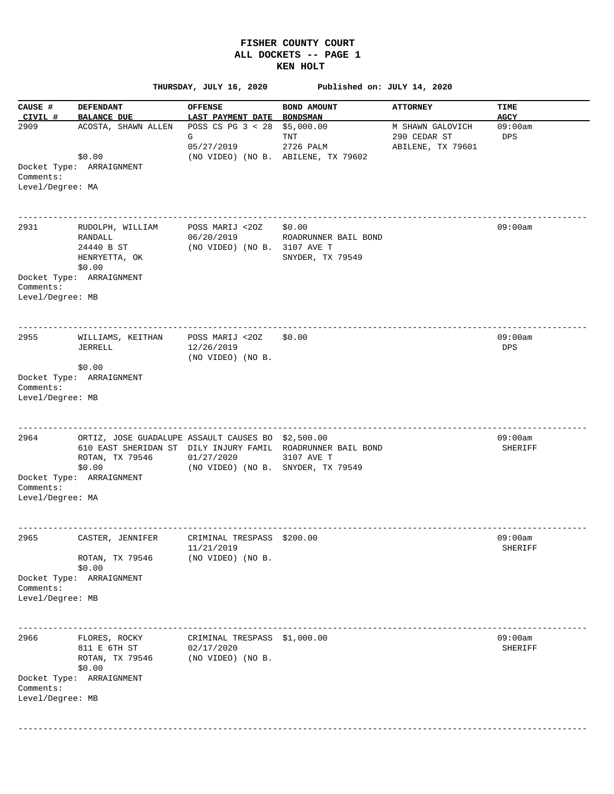## **FISHER COUNTY COURT ALL DOCKETS -- PAGE 1 KEN HOLT**

 **THURSDAY, JULY 16, 2020 Published on: JULY 14, 2020 CAUSE # DEFENDANT OFFENSE BOND AMOUNT ATTORNEY TIME CIVIL # BALANCE DUE LAST PAYMENT DATE BONDSMAN AGCY**  2909 ACOSTA, SHAWN ALLEN POSS CS PG 3 < 28 \$5,000.00 M SHAWN GALOVICH 09:00am G TNT 290 CEDAR ST DPS 05/27/2019 2726 PALM ABILENE, TX 79601 \$0.00 (NO VIDEO) (NO B. ABILENE, TX 79602 Docket Type: ARRAIGNMENT Comments: Level/Degree: MA ------------------------------------------------------------------------------------------------------------------ 2931 RUDOLPH, WILLIAM POSS MARIJ <2OZ \$0.00 09:00am RANDALL 06/20/2019 ROADRUNNER BAIL BOND RANDALL 06/20/2019 ROADRONNER<br>24440 B ST (NO VIDEO) (NO B. 3107 AVE T HENRYETTA, OK SNYDER, TX 79549 \$0.00 Docket Type: ARRAIGNMENT Comments: Level/Degree: MB ------------------------------------------------------------------------------------------------------------------ 2955 WILLIAMS, KEITHAN POSS MARIJ <2OZ \$0.00 09:00am JERRELL 12/26/2019 DPS (NO VIDEO) (NO B. \$0.00 Docket Type: ARRAIGNMENT Comments: Level/Degree: MB ------------------------------------------------------------------------------------------------------------------ 2964 ORTIZ, JOSE GUADALUPE ASSAULT CAUSES BO \$2,500.00 09:00am 610 EAST SHERIDAN ST DILY INJURY FAMIL ROADRUNNER BAIL BOND SHERIFF ROTAN, TX 79546 01/27/2020 3107 AVE T \$0.00 (NO VIDEO) (NO B. SNYDER, TX 79549 Docket Type: ARRAIGNMENT Comments: Level/Degree: MA ------------------------------------------------------------------------------------------------------------------ 2965 CASTER, JENNIFER CRIMINAL TRESPASS \$200.00 09:00am 11/21/2019 SHERIFF ROTAN, TX 79546 (NO VIDEO) (NO B. \$0.00 Docket Type: ARRAIGNMENT Comments: Level/Degree: MB ------------------------------------------------------------------------------------------------------------------ 2966 FLORES, ROCKY CRIMINAL TRESPASS \$1,000.00 811 E 6TH ST 02/17/2020 2010 12:00 12:00 12:00 12:00 12:00 12:00 12:00 12:00 12:00 12:00 12:00 12:00 12:00 12:00 12:00 12:00 12:00 12:00 12:00 12:00 12:00 12:00 12:00 12:00 12:00 12:00 12:00 12:00 12:00 12:00 12:00 12:00 1 ROTAN, TX 79546 (NO VIDEO) (NO B. \$0.00 Docket Type: ARRAIGNMENT Comments: Level/Degree: MB ------------------------------------------------------------------------------------------------------------------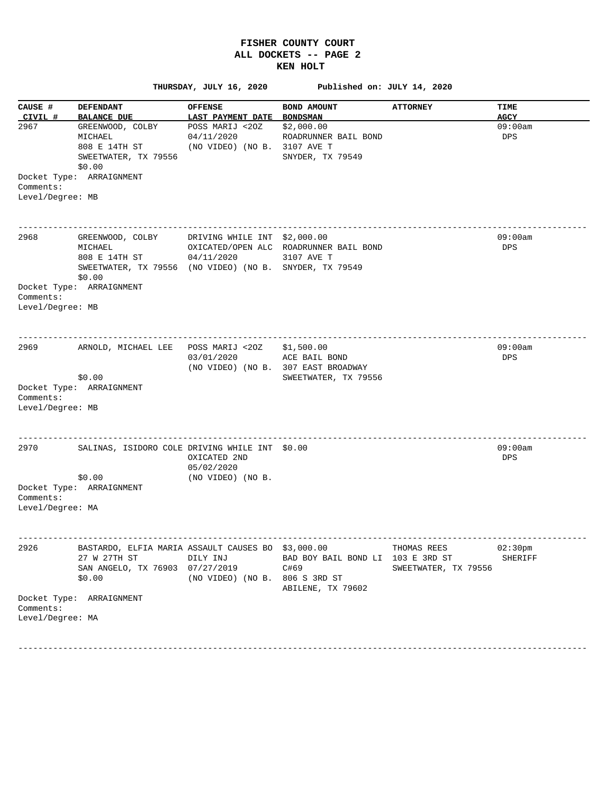## **FISHER COUNTY COURT ALL DOCKETS -- PAGE 2 KEN HOLT**

 **THURSDAY, JULY 16, 2020 Published on: JULY 14, 2020 CAUSE # DEFENDANT** OFFENSE BOND AMOUNT ATTORNEY TIME  **CIVIL # BALANCE DUE LAST PAYMENT DATE BONDSMAN AGCY**  2967 GREENWOOD, COLBY POSS MARIJ <2OZ \$2,000.00 09:00am MICHAEL  $04/11/2020$  ROADRUNNER BAIL BOND DPS DPS (NO VIDEO) (NO B. 3107 AVE T (NO VIDEO) (NO B. 3107 AVE T SWEETWATER, TX 79556 SNYDER, TX 79549 \$0.00 Docket Type: ARRAIGNMENT Comments: Level/Degree: MB ------------------------------------------------------------------------------------------------------------------ 2968 GREENWOOD, COLBY DRIVING WHILE INT \$2,000.00 09:00 09:00 09:00 09:00 09:00 09:00 09:00 09:00 09:00 09:00 09:00 09:00 09:00 09:00 09:00 09:00 09:00 09:00 09:00 09:00 09:00 09:00 09:00 09:00 09:00 09:00 09:00 09:00 09:0 MICHAEL OXICATED/OPEN ALC ROADRUNNER BAIL BOND DPS 808 E 14TH ST 04/11/2020 3107 AVE T SWEETWATER, TX 79556 (NO VIDEO) (NO B. SNYDER, TX 79549 \$0.00 Docket Type: ARRAIGNMENT Comments: Level/Degree: MB ------------------------------------------------------------------------------------------------------------------ 2969 ARNOLD, MICHAEL LEE POSS MARIJ <2OZ \$1,500.00 09:00am 03/01/2020 ACE BAIL BOND DPS (NO VIDEO) (NO B. 307 EAST BROADWAY \$0.00 SWEETWATER, TX 79556 Docket Type: ARRAIGNMENT Comments: Level/Degree: MB ------------------------------------------------------------------------------------------------------------------ 2970 SALINAS, ISIDORO COLE DRIVING WHILE INT \$0.00 09:00am OXICATED 2ND DPS 05/02/2020<br>05/02/2020 (NO VIDEO) (NO VIDEO) (NO B. Docket Type: ARRAIGNMENT Comments: Level/Degree: MA ------------------------------------------------------------------------------------------------------------------ 2926 BASTARDO, ELFIA MARIA ASSAULT CAUSES BO \$3,000.00 THOMAS REES 02:30pm 27 W 27TH ST DILY INJ BAD BOY BAIL BOND LI 103 E 3RD ST SHERIFF SAN ANGELO, TX 76903 07/27/2019 C#69 SWEETWATER, TX 79556 \$0.00 (NO VIDEO) (NO B. 806 S 3RD ST ABILENE, TX 79602 Docket Type: ARRAIGNMENT Comments: Level/Degree: MA

------------------------------------------------------------------------------------------------------------------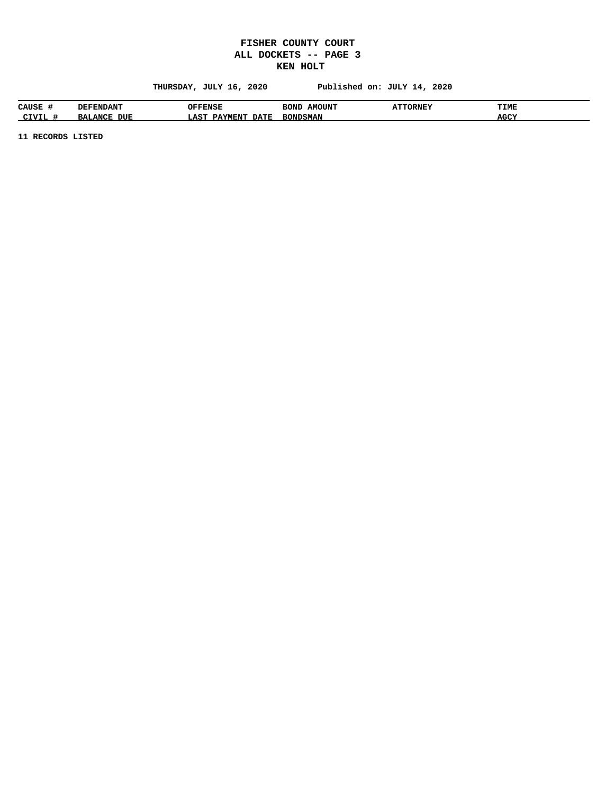## **FISHER COUNTY COURT ALL DOCKETS -- PAGE 3 KEN HOLT**

 **THURSDAY, JULY 16, 2020 Published on: JULY 14, 2020**

| <b>CAUSE</b>    | <b>DEFENDANT</b>                                | OFFENSE                                  | <b>AMOUNT</b><br>BONT | <b>ATTORNEY</b><br>. | <b>TIME</b> |
|-----------------|-------------------------------------------------|------------------------------------------|-----------------------|----------------------|-------------|
| ATIITI<br>◡⊥▿⊥⊔ | <b>DUE</b><br>BA<br>$\mathbf{A}$ N $\mathbf{C}$ | <b>DATE</b><br>⊥AS™<br><b>MENT</b><br>בכ | <b>BONDSMAN</b>       |                      | <b>AGCY</b> |

**11 RECORDS LISTED**